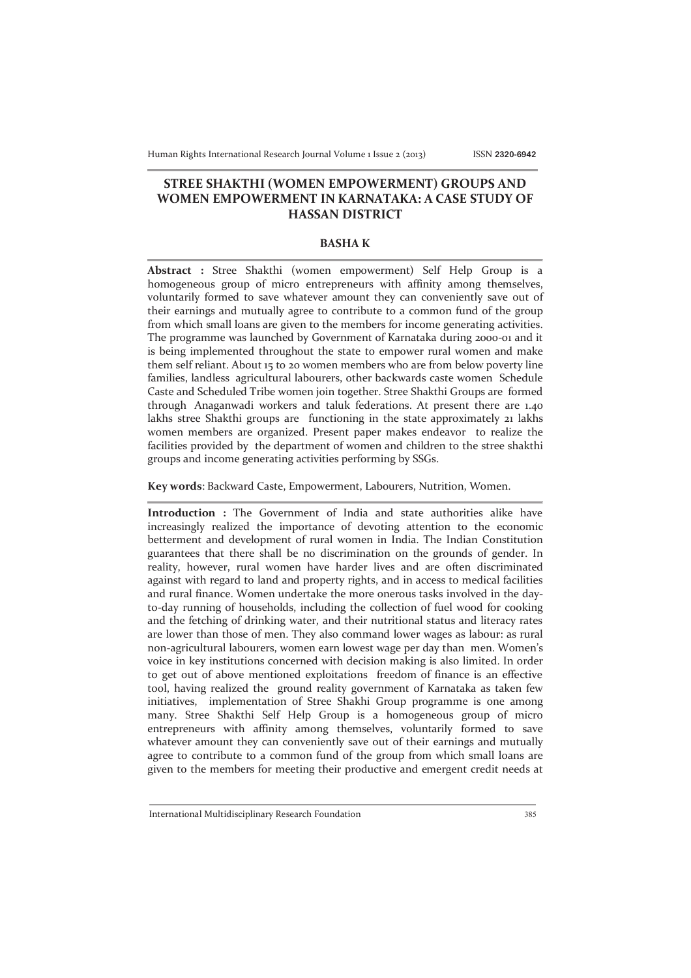## **STREE SHAKTHI (WOMEN EMPOWERMENT) GROUPS AND WOMEN EMPOWERMENT IN KARNATAKA: A CASE STUDY OF HASSAN DISTRICT**

## **BASHA K**

**Abstract :** Stree Shakthi (women empowerment) Self Help Group is a homogeneous group of micro entrepreneurs with affinity among themselves, voluntarily formed to save whatever amount they can conveniently save out of their earnings and mutually agree to contribute to a common fund of the group from which small loans are given to the members for income generating activities. The programme was launched by Government of Karnataka during 2000-01 and it is being implemented throughout the state to empower rural women and make them self reliant. About 15 to 20 women members who are from below poverty line families, landless agricultural labourers, other backwards caste women Schedule Caste and Scheduled Tribe women join together. Stree Shakthi Groups are formed through Anaganwadi workers and taluk federations. At present there are 1.40 lakhs stree Shakthi groups are functioning in the state approximately 21 lakhs women members are organized. Present paper makes endeavor to realize the facilities provided by the department of women and children to the stree shakthi groups and income generating activities performing by SSGs.

**Key words**: Backward Caste, Empowerment, Labourers, Nutrition, Women.

**Introduction :** The Government of India and state authorities alike have increasingly realized the importance of devoting attention to the economic betterment and development of rural women in India. The Indian Constitution guarantees that there shall be no discrimination on the grounds of gender. In reality, however, rural women have harder lives and are often discriminated against with regard to land and property rights, and in access to medical facilities and rural finance. Women undertake the more onerous tasks involved in the dayto-day running of households, including the collection of fuel wood for cooking and the fetching of drinking water, and their nutritional status and literacy rates are lower than those of men. They also command lower wages as labour: as rural non-agricultural labourers, women earn lowest wage per day than men. Women's voice in key institutions concerned with decision making is also limited. In order to get out of above mentioned exploitations freedom of finance is an effective tool, having realized the ground reality government of Karnataka as taken few initiatives, implementation of Stree Shakhi Group programme is one among many. Stree Shakthi Self Help Group is a homogeneous group of micro entrepreneurs with affinity among themselves, voluntarily formed to save whatever amount they can conveniently save out of their earnings and mutually agree to contribute to a common fund of the group from which small loans are given to the members for meeting their productive and emergent credit needs at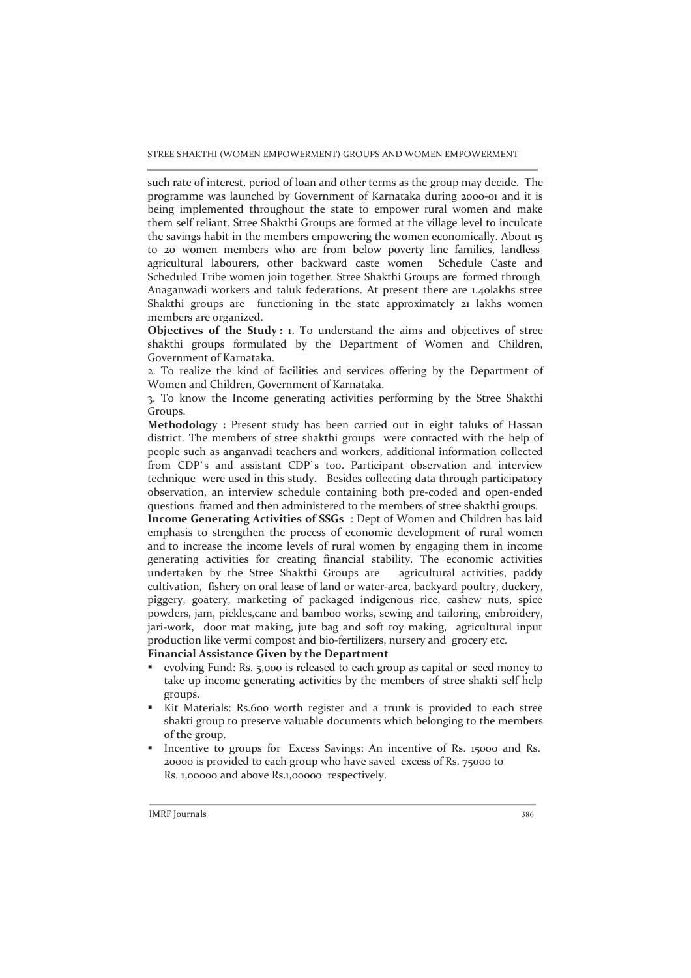STREE SHAKTHI (WOMEN EMPOWERMENT) GROUPS AND WOMEN EMPOWERMENT

such rate of interest, period of loan and other terms as the group may decide. The programme was launched by Government of Karnataka during 2000-01 and it is being implemented throughout the state to empower rural women and make them self reliant. Stree Shakthi Groups are formed at the village level to inculcate the savings habit in the members empowering the women economically. About 15 to 20 women members who are from below poverty line families, landless agricultural labourers, other backward caste women Schedule Caste and Scheduled Tribe women join together. Stree Shakthi Groups are formed through Anaganwadi workers and taluk federations. At present there are 1.40lakhs stree Shakthi groups are functioning in the state approximately 21 lakhs women members are organized.

**Objectives of the Study:** 1. To understand the aims and objectives of stree shakthi groups formulated by the Department of Women and Children, Government of Karnataka.

2. To realize the kind of facilities and services offering by the Department of Women and Children, Government of Karnataka.

3. To know the Income generating activities performing by the Stree Shakthi Groups.

Methodology : Present study has been carried out in eight taluks of Hassan district. The members of stree shakthi groups were contacted with the help of people such as anganvadi teachers and workers, additional information collected from CDP`s and assistant CDP`s too. Participant observation and interview technique were used in this study. Besides collecting data through participatory observation, an interview schedule containing both pre-coded and open-ended questions framed and then administered to the members of stree shakthi groups.

**Income Generating Activities of SSGs** : Dept of Women and Children has laid emphasis to strengthen the process of economic development of rural women and to increase the income levels of rural women by engaging them in income generating activities for creating financial stability. The economic activities undertaken by the Stree Shakthi Groups are agricultural activities, paddy cultivation, fishery on oral lease of land or water-area, backyard poultry, duckery, piggery, goatery, marketing of packaged indigenous rice, cashew nuts, spice powders, jam, pickles,cane and bamboo works, sewing and tailoring, embroidery, jari-work, door mat making, jute bag and soft toy making, agricultural input production like vermi compost and bio-fertilizers, nursery and grocery etc.

- **Financial Assistance Given by the Department**
- ß evolving Fund: Rs. 5,000 is released to each group as capital or seed money to take up income generating activities by the members of stree shakti self help groups.
- ß Kit Materials: Rs.600 worth register and a trunk is provided to each stree shakti group to preserve valuable documents which belonging to the members of the group.
- ß Incentive to groups for Excess Savings: An incentive of Rs. 15000 and Rs. 20000 is provided to each group who have saved excess of Rs. 75000 to Rs. 1,00000 and above Rs.1,00000 respectively.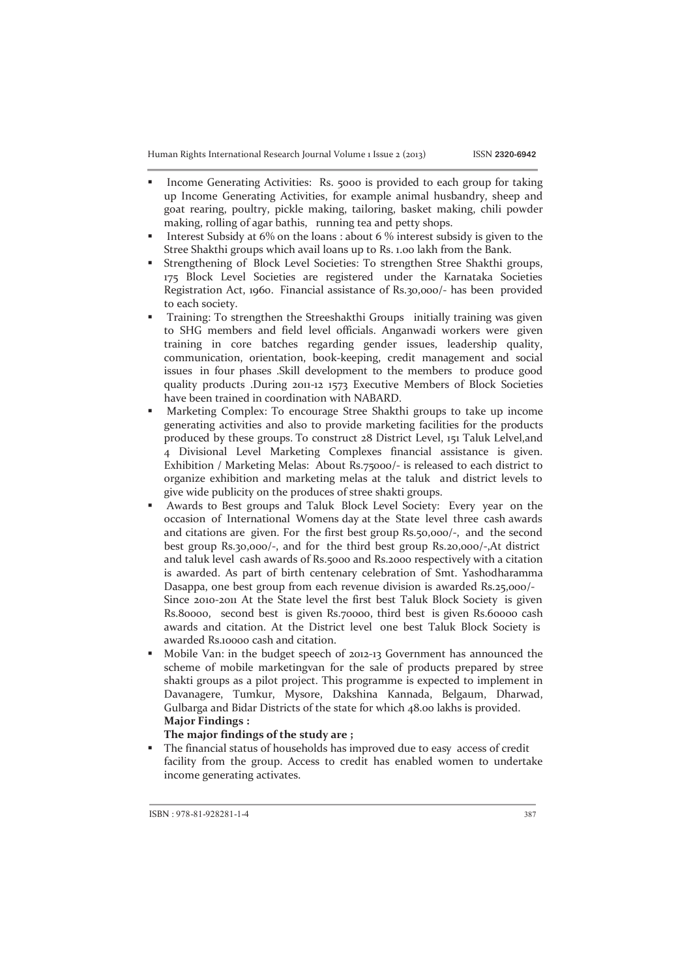Human Rights International Research Journal Volume 1 Issue 2 (2013) ISSN **2320-6942**

- ß Income Generating Activities: Rs. 5000 is provided to each group for taking up Income Generating Activities, for example animal husbandry, sheep and goat rearing, poultry, pickle making, tailoring, basket making, chili powder making, rolling of agar bathis, running tea and petty shops.
- Interest Subsidy at 6% on the loans : about 6 % interest subsidy is given to the Stree Shakthi groups which avail loans up to Rs. 1.00 lakh from the Bank.
- ß Strengthening of Block Level Societies: To strengthen Stree Shakthi groups, 175 Block Level Societies are registered under the Karnataka Societies Registration Act, 1960. Financial assistance of Rs.30,000/- has been provided to each society.
- ß Training: To strengthen the Streeshakthi Groups initially training was given to SHG members and field level officials. Anganwadi workers were given training in core batches regarding gender issues, leadership quality, communication, orientation, book-keeping, credit management and social issues in four phases .Skill development to the members to produce good quality products .During 2011-12 1573 Executive Members of Block Societies have been trained in coordination with NABARD.
- ß Marketing Complex: To encourage Stree Shakthi groups to take up income generating activities and also to provide marketing facilities for the products produced by these groups. To construct 28 District Level, 151 Taluk Lelvel,and 4 Divisional Level Marketing Complexes financial assistance is given. Exhibition / Marketing Melas: About Rs.75000/- is released to each district to organize exhibition and marketing melas at the taluk and district levels to give wide publicity on the produces of stree shakti groups.
- ß Awards to Best groups and Taluk Block Level Society: Every year on the occasion of International Womens day at the State level three cash awards and citations are given. For the first best group Rs.50,000/-, and the second best group Rs.30,000/-, and for the third best group Rs.20,000/-,At district and taluk level cash awards of Rs.5000 and Rs.2000 respectively with a citation is awarded. As part of birth centenary celebration of Smt. Yashodharamma Dasappa, one best group from each revenue division is awarded Rs.25,000/- Since 2010-2011 At the State level the first best Taluk Block Society is given Rs.80000, second best is given Rs.70000, third best is given Rs.60000 cash awards and citation. At the District level one best Taluk Block Society is awarded Rs.10000 cash and citation.
- ß Mobile Van: in the budget speech of 2012-13 Government has announced the scheme of mobile marketingvan for the sale of products prepared by stree shakti groups as a pilot project. This programme is expected to implement in Davanagere, Tumkur, Mysore, Dakshina Kannada, Belgaum, Dharwad, Gulbarga and Bidar Districts of the state for which 48.00 lakhs is provided. **Major Findings :**

**The major findings of the study are ;** 

The financial status of households has improved due to easy access of credit facility from the group. Access to credit has enabled women to undertake income generating activates.